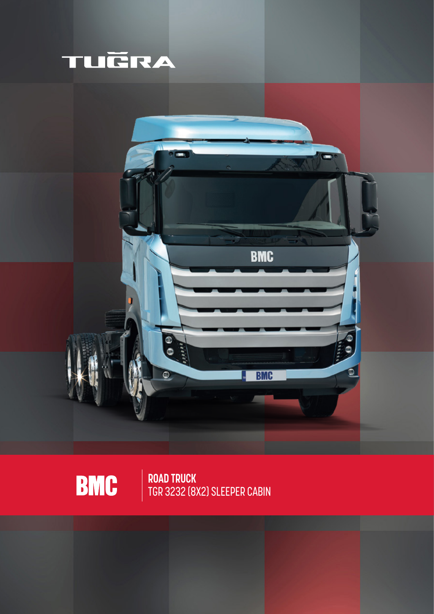



**ROAD TRUCK** TGR 3232 (8X2) SLEEPER CABIN

**BMC**